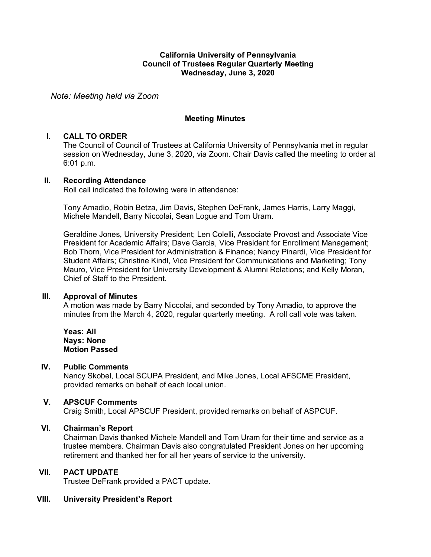### **California University of Pennsylvania Council of Trustees Regular Quarterly Meeting Wednesday, June 3, 2020**

*Note: Meeting held via Zoom*

### **Meeting Minutes**

### **I. CALL TO ORDER**

The Council of Council of Trustees at California University of Pennsylvania met in regular session on Wednesday, June 3, 2020, via Zoom. Chair Davis called the meeting to order at 6:01 p.m.

#### **II. Recording Attendance**

Roll call indicated the following were in attendance:

Tony Amadio, Robin Betza, Jim Davis, Stephen DeFrank, James Harris, Larry Maggi, Michele Mandell, Barry Niccolai, Sean Logue and Tom Uram.

Geraldine Jones, University President; Len Colelli, Associate Provost and Associate Vice President for Academic Affairs; Dave Garcia, Vice President for Enrollment Management; Bob Thorn, Vice President for Administration & Finance; Nancy Pinardi, Vice President for Student Affairs; Christine Kindl, Vice President for Communications and Marketing; Tony Mauro, Vice President for University Development & Alumni Relations; and Kelly Moran, Chief of Staff to the President.

#### **III. Approval of Minutes**

A motion was made by Barry Niccolai, and seconded by Tony Amadio, to approve the minutes from the March 4, 2020, regular quarterly meeting. A roll call vote was taken.

**Yeas: All Nays: None Motion Passed**

#### **IV. Public Comments**

Nancy Skobel, Local SCUPA President, and Mike Jones, Local AFSCME President, provided remarks on behalf of each local union.

### **V. APSCUF Comments**

Craig Smith, Local APSCUF President, provided remarks on behalf of ASPCUF.

## **VI. Chairman's Report**

Chairman Davis thanked Michele Mandell and Tom Uram for their time and service as a trustee members. Chairman Davis also congratulated President Jones on her upcoming retirement and thanked her for all her years of service to the university.

### **VII. PACT UPDATE**

Trustee DeFrank provided a PACT update.

# **VIII. University President's Report**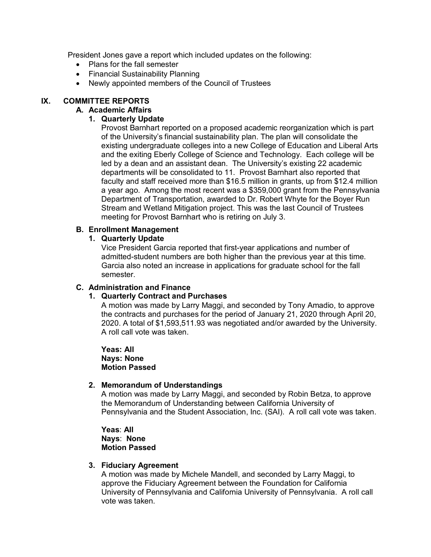President Jones gave a report which included updates on the following:

- Plans for the fall semester
- Financial Sustainability Planning
- Newly appointed members of the Council of Trustees

## **IX. COMMITTEE REPORTS**

## **A. Academic Affairs**

## **1. Quarterly Update**

Provost Barnhart reported on a proposed academic reorganization which is part of the University's financial sustainability plan. The plan will consolidate the existing undergraduate colleges into a new College of Education and Liberal Arts and the exiting Eberly College of Science and Technology. Each college will be led by a dean and an assistant dean. The University's existing 22 academic departments will be consolidated to 11. Provost Barnhart also reported that faculty and staff received more than \$16.5 million in grants, up from \$12.4 million a year ago. Among the most recent was a \$359,000 grant from the Pennsylvania Department of Transportation, awarded to Dr. Robert Whyte for the Boyer Run Stream and Wetland Mitigation project. This was the last Council of Trustees meeting for Provost Barnhart who is retiring on July 3.

### **B. Enrollment Management**

### **1. Quarterly Update**

Vice President Garcia reported that first-year applications and number of admitted-student numbers are both higher than the previous year at this time. Garcia also noted an increase in applications for graduate school for the fall semester.

## **C. Administration and Finance**

## **1. Quarterly Contract and Purchases**

A motion was made by Larry Maggi, and seconded by Tony Amadio, to approve the contracts and purchases for the period of January 21, 2020 through April 20, 2020. A total of \$1,593,511.93 was negotiated and/or awarded by the University. A roll call vote was taken.

**Yeas: All Nays: None Motion Passed**

### **2. Memorandum of Understandings**

A motion was made by Larry Maggi, and seconded by Robin Betza, to approve the Memorandum of Understanding between California University of Pennsylvania and the Student Association, Inc. (SAI). A roll call vote was taken.

**Yeas**: **All Nays**: **None Motion Passed**

#### **3. Fiduciary Agreement**

A motion was made by Michele Mandell, and seconded by Larry Maggi, to approve the Fiduciary Agreement between the Foundation for California University of Pennsylvania and California University of Pennsylvania. A roll call vote was taken.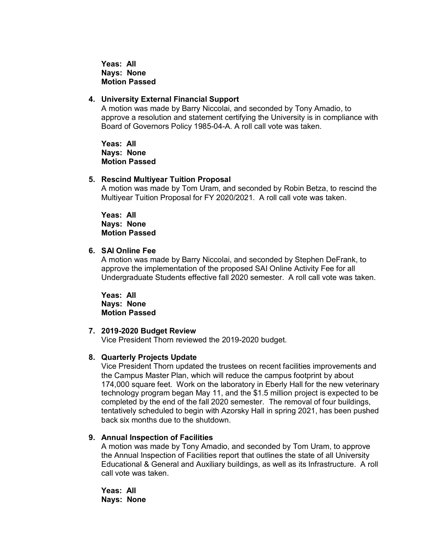**Yeas: All Nays: None Motion Passed**

#### **4. University External Financial Support**

A motion was made by Barry Niccolai, and seconded by Tony Amadio, to approve a resolution and statement certifying the University is in compliance with Board of Governors Policy 1985-04-A. A roll call vote was taken.

**Yeas: All Nays: None Motion Passed**

#### **5. Rescind Multiyear Tuition Proposal**

A motion was made by Tom Uram, and seconded by Robin Betza, to rescind the Multiyear Tuition Proposal for FY 2020/2021. A roll call vote was taken.

**Yeas: All Nays: None Motion Passed**

#### **6. SAI Online Fee**

A motion was made by Barry Niccolai, and seconded by Stephen DeFrank, to approve the implementation of the proposed SAI Online Activity Fee for all Undergraduate Students effective fall 2020 semester. A roll call vote was taken.

**Yeas: All Nays: None Motion Passed**

#### **7. 2019-2020 Budget Review**

Vice President Thorn reviewed the 2019-2020 budget.

#### **8. Quarterly Projects Update**

Vice President Thorn updated the trustees on recent facilities improvements and the Campus Master Plan, which will reduce the campus footprint by about 174,000 square feet. Work on the laboratory in Eberly Hall for the new veterinary technology program began May 11, and the \$1.5 million project is expected to be completed by the end of the fall 2020 semester. The removal of four buildings, tentatively scheduled to begin with Azorsky Hall in spring 2021, has been pushed back six months due to the shutdown.

#### **9. Annual Inspection of Facilities**

A motion was made by Tony Amadio, and seconded by Tom Uram, to approve the Annual Inspection of Facilities report that outlines the state of all University Educational & General and Auxiliary buildings, as well as its Infrastructure. A roll call vote was taken.

**Yeas: All Nays: None**